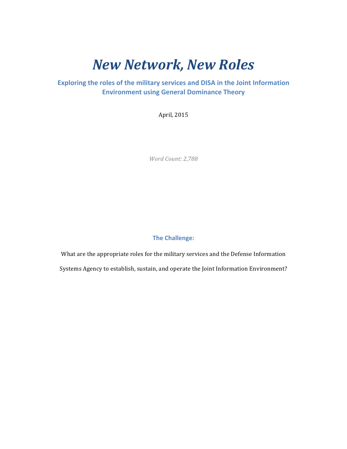# *New Network, New Roles*

## **Exploring the roles of the military services and DISA in the Joint Information Environment using General Dominance Theory**

April, 2015

*Word Count: 2,788*

## **The Challenge:**

What are the appropriate roles for the military services and the Defense Information Systems Agency to establish, sustain, and operate the Joint Information Environment?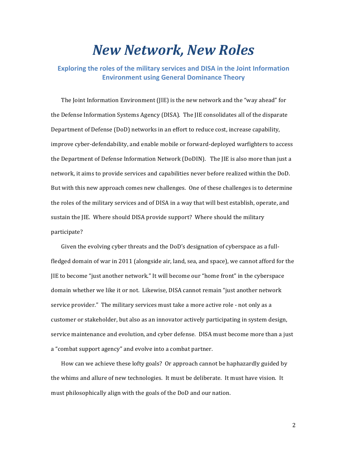# *New Network, New Roles*

**Exploring the roles of the military services and DISA in the Joint Information Environment using General Dominance Theory**

The Joint Information Environment  $(IE)$  is the new network and the "way ahead" for the Defense Information Systems Agency (DISA). The JIE consolidates all of the disparate Department of Defense (DoD) networks in an effort to reduce cost, increase capability, improve cyber-defendability, and enable mobile or forward-deployed warfighters to access the Department of Defense Information Network (DoDIN). The JIE is also more than just a network, it aims to provide services and capabilities never before realized within the DoD. But with this new approach comes new challenges. One of these challenges is to determine the roles of the military services and of DISA in a way that will best establish, operate, and sustain the JIE. Where should DISA provide support? Where should the military participate?

Given the evolving cyber threats and the DoD's designation of cyberspace as a fullfledged domain of war in 2011 (alongside air, land, sea, and space), we cannot afford for the JIE to become "just another network." It will become our "home front" in the cyberspace domain whether we like it or not. Likewise, DISA cannot remain "just another network service provider." The military services must take a more active role - not only as a customer or stakeholder, but also as an innovator actively participating in system design, service maintenance and evolution, and cyber defense. DISA must become more than a just a "combat support agency" and evolve into a combat partner.

How can we achieve these lofty goals? Or approach cannot be haphazardly guided by the whims and allure of new technologies. It must be deliberate. It must have vision. It must philosophically align with the goals of the DoD and our nation.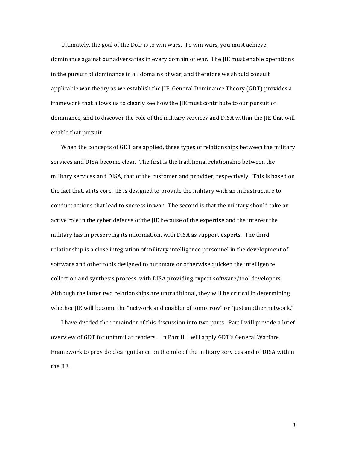Ultimately, the goal of the  $DoD$  is to win wars. To win wars, you must achieve dominance against our adversaries in every domain of war. The JIE must enable operations in the pursuit of dominance in all domains of war, and therefore we should consult applicable war theory as we establish the  $IIE$ . General Dominance Theory  $(GDT)$  provides a framework that allows us to clearly see how the JIE must contribute to our pursuit of dominance, and to discover the role of the military services and DISA within the JIE that will enable that pursuit.

When the concepts of GDT are applied, three types of relationships between the military services and DISA become clear. The first is the traditional relationship between the military services and DISA, that of the customer and provider, respectively. This is based on the fact that, at its core, IIE is designed to provide the military with an infrastructure to conduct actions that lead to success in war. The second is that the military should take an active role in the cyber defense of the IIE because of the expertise and the interest the military has in preserving its information, with DISA as support experts. The third relationship is a close integration of military intelligence personnel in the development of software and other tools designed to automate or otherwise quicken the intelligence collection and synthesis process, with DISA providing expert software/tool developers. Although the latter two relationships are untraditional, they will be critical in determining whether JIE will become the "network and enabler of tomorrow" or "just another network."

I have divided the remainder of this discussion into two parts. Part I will provide a brief overview of GDT for unfamiliar readers. In Part II, I will apply GDT's General Warfare Framework to provide clear guidance on the role of the military services and of DISA within the JIE.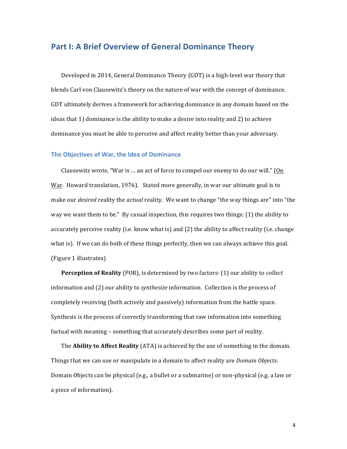# **Part I: A Brief Overview of General Dominance Theory**

Developed in 2014, General Dominance Theory (GDT) is a high-level war theory that blends Carl von Clausewitz's theory on the nature of war with the concept of dominance. GDT ultimately derives a framework for achieving dominance in any domain based on the ideas that  $1$ ) dominance is the ability to make a desire into reality and  $2$ ) to achieve dominance you must be able to perceive and affect reality better than your adversary.

#### **The Objectives of War, the Idea of Dominance**

Clausewitz wrote, "War is ... an act of force to compel our enemy to do our will." (On War. Howard translation, 1976). Stated more generally, in war our ultimate goal is to make our *desired* reality the *actual* reality. We want to change "the way things are" into "the way we want them to be." By casual inspection, this requires two things:  $(1)$  the ability to accurately perceive reality (i.e. know what is) and  $(2)$  the ability to affect reality (i.e. change what is). If we can do both of these things perfectly, then we can always achieve this goal. (Figure 1 illustrates)

**Perception of Reality** (POR), is determined by two factors: (1) our ability to *collect* information and (2) our ability to *synthesize* information. Collection is the process of completely receiving (both actively and passively) information from the battle space. Synthesis is the process of correctly transforming that raw information into something factual with meaning - something that accurately describes some part of reality.

The **Ability to Affect Reality** (ATA) is achieved by the use of something in the domain. Things that we can use or manipulate in a domain to affect reality are *Domain Objects*. Domain Objects can be physical  $(e.g., a bullet or a submarine)$  or non-physical  $(e.g., a law or$ a piece of information).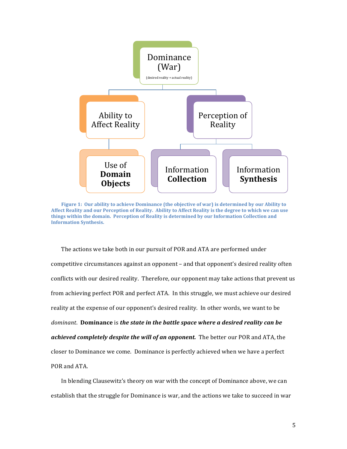

**Figure 1:** Our ability to achieve Dominance (the objective of war) is determined by our Ability to Affect Reality and our Perception of Reality. Ability to Affect Reality is the degree to which we can use things within the domain. Perception of Reality is determined by our Information Collection and **Information Synthesis.**

The actions we take both in our pursuit of POR and ATA are performed under competitive circumstances against an opponent – and that opponent's desired reality often conflicts with our desired reality. Therefore, our opponent may take actions that prevent us from achieving perfect POR and perfect ATA. In this struggle, we must achieve our desired reality at the expense of our opponent's desired reality. In other words, we want to be *dominant.* **Dominance** is the state in the battle space where a desired reality can be achieved completely despite the will of an opponent. The better our POR and ATA, the closer to Dominance we come. Dominance is perfectly achieved when we have a perfect POR and ATA.

In blending Clausewitz's theory on war with the concept of Dominance above, we can establish that the struggle for Dominance is war, and the actions we take to succeed in war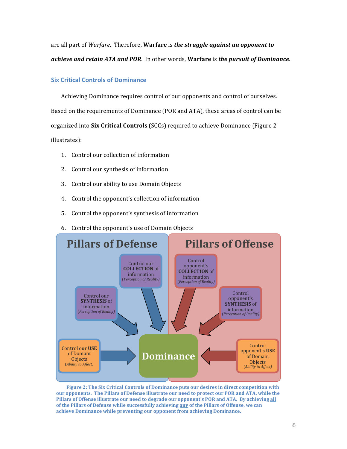are all part of *Warfare*. Therefore, **Warfare** is *the struggle against an opponent to achieve and retain ATA and POR.* In other words, Warfare is *the pursuit of Dominance*.

### **Six Critical Controls of Dominance**

Achieving Dominance requires control of our opponents and control of ourselves. Based on the requirements of Dominance (POR and ATA), these areas of control can be organized into **Six Critical Controls** (SCCs) required to achieve Dominance (Figure 2 illustrates):

- 1. Control our collection of information
- 2. Control our synthesis of information
- 3. Control our ability to use Domain Objects
- 4. Control the opponent's collection of information
- 5. Control the opponent's synthesis of information
- 6. Control the opponent's use of Domain Objects



**Figure 2: The Six Critical Controls of Dominance puts our desires in direct competition with** our opponents. The Pillars of Defense illustrate our need to protect our POR and ATA, while the Pillars of Offense illustrate our need to degrade our opponent's POR and ATA. By achieving all of the Pillars of Defense while successfully achieving any of the Pillars of Offense, we can achieve Dominance while preventing our opponent from achieving Dominance.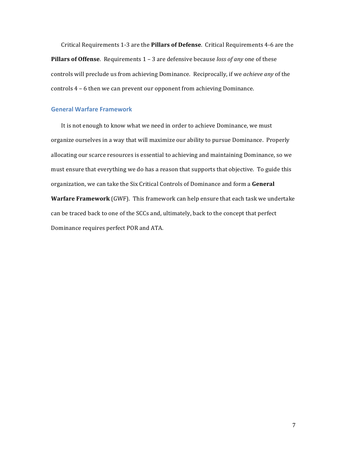Critical Requirements 1-3 are the **Pillars of Defense**. Critical Requirements 4-6 are the **Pillars of Offense**. Requirements 1 - 3 are defensive because *loss of any* one of these controls will preclude us from achieving Dominance. Reciprocally, if we *achieve any* of the controls  $4 - 6$  then we can prevent our opponent from achieving Dominance.

### **General Warfare Framework**

It is not enough to know what we need in order to achieve Dominance, we must organize ourselves in a way that will maximize our ability to pursue Dominance. Properly allocating our scarce resources is essential to achieving and maintaining Dominance, so we must ensure that everything we do has a reason that supports that objective. To guide this organization, we can take the Six Critical Controls of Dominance and form a General **Warfare Framework** (GWF). This framework can help ensure that each task we undertake can be traced back to one of the SCCs and, ultimately, back to the concept that perfect Dominance requires perfect POR and ATA.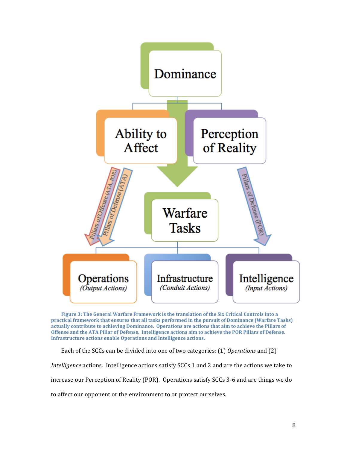

Figure 3: The General Warfare Framework is the translation of the Six Critical Controls into a **practical framework that ensures that all tasks performed in the pursuit of Dominance (Warfare Tasks)** actually contribute to achieving Dominance. Operations are actions that aim to achieve the Pillars of Offense and the ATA Pillar of Defense. Intelligence actions aim to achieve the POR Pillars of Defense. **Infrastructure actions enable Operations and Intelligence actions.** 

Each of the SCCs can be divided into one of two categories: (1) *Operations* and (2)

*Intelligence* actions. Intelligence actions satisfy SCCs 1 and 2 and are the actions we take to

increase our Perception of Reality (POR). Operations satisfy SCCs 3-6 and are things we do

to affect our opponent or the environment to or protect ourselves.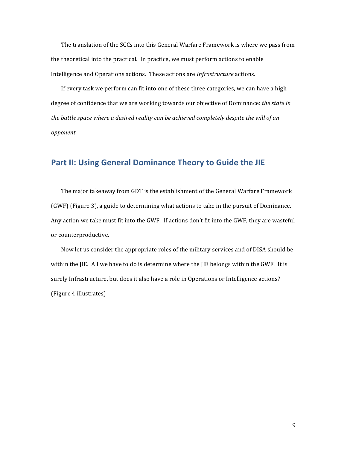The translation of the SCCs into this General Warfare Framework is where we pass from the theoretical into the practical. In practice, we must perform actions to enable Intelligence and Operations actions. These actions are *Infrastructure* actions.

If every task we perform can fit into one of these three categories, we can have a high degree of confidence that we are working towards our objective of Dominance: *the state in* the battle space where a desired reality can be achieved completely despite the will of an *opponent*.

## Part II: Using General Dominance Theory to Guide the JIE

The major takeaway from GDT is the establishment of the General Warfare Framework (GWF) (Figure 3), a guide to determining what actions to take in the pursuit of Dominance. Any action we take must fit into the GWF. If actions don't fit into the GWF, they are wasteful or counterproductive.

Now let us consider the appropriate roles of the military services and of DISA should be within the JIE. All we have to do is determine where the JIE belongs within the GWF. It is surely Infrastructure, but does it also have a role in Operations or Intelligence actions? (Figure 4 illustrates)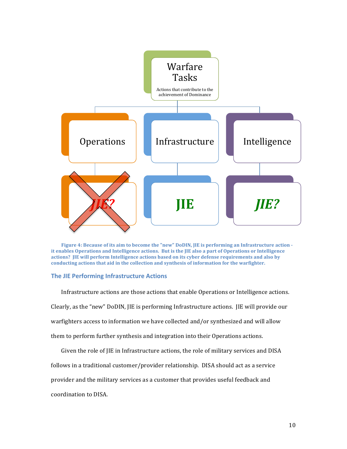

**Figure 4: Because of its aim to become the "new" DoDIN, JIE is performing an Infrastructure action** it enables Operations and Intelligence actions. But is the *IIE* also a part of Operations or Intelligence **actions?** JIE will perform Intelligence actions based on its cyber defense requirements and also by **conducting actions that aid in the collection and synthesis of information for the warfighter.** 

#### **The JIE Performing Infrastructure Actions**

Infrastructure actions are those actions that enable Operations or Intelligence actions. Clearly, as the "new" DoDIN, IIE is performing Infrastructure actions. IIE will provide our warfighters access to information we have collected and/or synthesized and will allow them to perform further synthesis and integration into their Operations actions.

Given the role of JIE in Infrastructure actions, the role of military services and DISA

follows in a traditional customer/provider relationship. DISA should act as a service

provider and the military services as a customer that provides useful feedback and

coordination to DISA.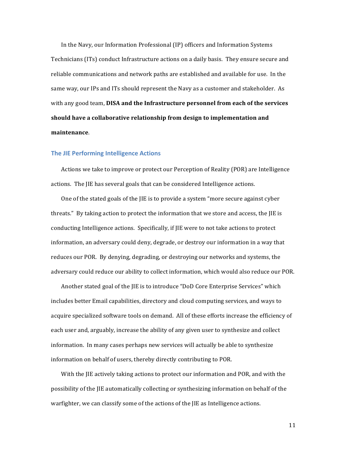In the Navy, our Information Professional (IP) officers and Information Systems Technicians (ITs) conduct Infrastructure actions on a daily basis. They ensure secure and reliable communications and network paths are established and available for use. In the same way, our IPs and ITs should represent the Navy as a customer and stakeholder. As with any good team, **DISA and the Infrastructure personnel from each of the services** should have a collaborative relationship from design to implementation and **maintenance**.

#### **The JIE Performing Intelligence Actions**

Actions we take to improve or protect our Perception of Reality (POR) are Intelligence actions. The JIE has several goals that can be considered Intelligence actions.

One of the stated goals of the IIE is to provide a system "more secure against cyber" threats." By taking action to protect the information that we store and access, the  $IIE$  is conducting Intelligence actions. Specifically, if JIE were to not take actions to protect information, an adversary could deny, degrade, or destroy our information in a way that reduces our POR. By denying, degrading, or destroying our networks and systems, the adversary could reduce our ability to collect information, which would also reduce our POR.

Another stated goal of the JIE is to introduce "DoD Core Enterprise Services" which includes better Email capabilities, directory and cloud computing services, and ways to acquire specialized software tools on demand. All of these efforts increase the efficiency of each user and, arguably, increase the ability of any given user to synthesize and collect information. In many cases perhaps new services will actually be able to synthesize information on behalf of users, thereby directly contributing to POR.

With the IIE actively taking actions to protect our information and POR, and with the possibility of the IIE automatically collecting or synthesizing information on behalf of the warfighter, we can classify some of the actions of the JIE as Intelligence actions.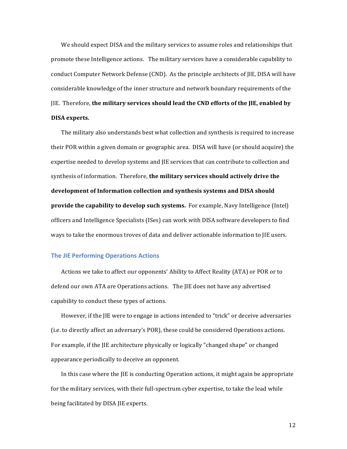We should expect DISA and the military services to assume roles and relationships that promote these Intelligence actions. The military services have a considerable capability to conduct Computer Network Defense (CND). As the principle architects of JIE, DISA will have considerable knowledge of the inner structure and network boundary requirements of the **JIE.** Therefore, the military services should lead the CND efforts of the JIE, enabled by **DISA experts.** 

The military also understands best what collection and synthesis is required to increase their POR within a given domain or geographic area. DISA will have (or should acquire) the expertise needed to develop systems and IIE services that can contribute to collection and synthesis of information. Therefore, the military services should actively drive the development of Information collection and synthesis systems and DISA should **provide the capability to develop such systems.** For example, Navy Intelligence (Intel) officers and Intelligence Specialists (ISes) can work with DISA software developers to find ways to take the enormous troves of data and deliver actionable information to IIE users.

#### **The JIE Performing Operations Actions**

Actions we take to affect our opponents' Ability to Affect Reality (ATA) or POR or to defend our own ATA are Operations actions. The JIE does not have any advertised capability to conduct these types of actions.

However, if the IIE were to engage in actions intended to "trick" or deceive adversaries (i.e. to directly affect an adversary's POR), these could be considered Operations actions. For example, if the IIE architecture physically or logically "changed shape" or changed appearance periodically to deceive an opponent.

In this case where the  $IIE$  is conducting Operation actions, it might again be appropriate for the military services, with their full-spectrum cyber expertise, to take the lead while being facilitated by DISA JIE experts.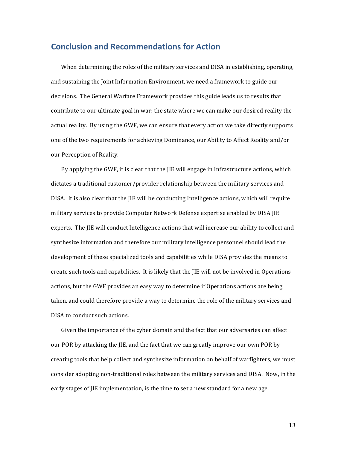## **Conclusion and Recommendations for Action**

When determining the roles of the military services and DISA in establishing, operating, and sustaining the Joint Information Environment, we need a framework to guide our decisions. The General Warfare Framework provides this guide leads us to results that contribute to our ultimate goal in war: the state where we can make our desired reality the actual reality. By using the GWF, we can ensure that every action we take directly supports one of the two requirements for achieving Dominance, our Ability to Affect Reality and/or our Perception of Reality.

By applying the GWF, it is clear that the  $IIE$  will engage in Infrastructure actions, which dictates a traditional customer/provider relationship between the military services and DISA. It is also clear that the JIE will be conducting Intelligence actions, which will require military services to provide Computer Network Defense expertise enabled by DISA JIE experts. The JIE will conduct Intelligence actions that will increase our ability to collect and synthesize information and therefore our military intelligence personnel should lead the development of these specialized tools and capabilities while DISA provides the means to create such tools and capabilities. It is likely that the JIE will not be involved in Operations actions, but the GWF provides an easy way to determine if Operations actions are being taken, and could therefore provide a way to determine the role of the military services and DISA to conduct such actions.

Given the importance of the cyber domain and the fact that our adversaries can affect our POR by attacking the JIE, and the fact that we can greatly improve our own POR by creating tools that help collect and synthesize information on behalf of warfighters, we must consider adopting non-traditional roles between the military services and DISA. Now, in the early stages of JIE implementation, is the time to set a new standard for a new age.